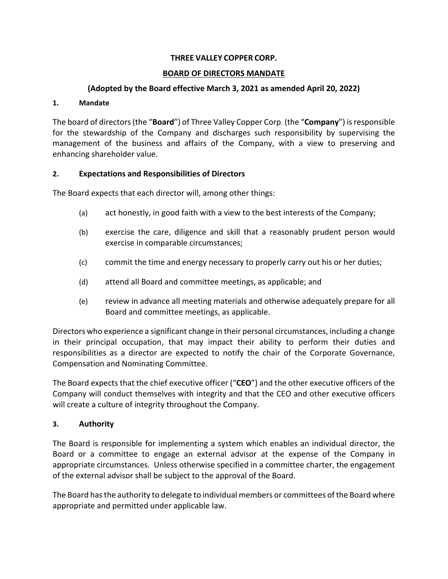#### **THREE VALLEY COPPER CORP.**

#### **BOARD OF DIRECTORS MANDATE**

#### **(Adopted by the Board effective March 3, 2021 as amended April 20, 2022)**

#### **1. Mandate**

The board of directors (the "**Board**") of Three Valley Copper Corp. (the "**Company**") is responsible for the stewardship of the Company and discharges such responsibility by supervising the management of the business and affairs of the Company, with a view to preserving and enhancing shareholder value.

#### **2. Expectations and Responsibilities of Directors**

The Board expects that each director will, among other things:

- (a) act honestly, in good faith with a view to the best interests of the Company;
- (b) exercise the care, diligence and skill that a reasonably prudent person would exercise in comparable circumstances;
- (c) commit the time and energy necessary to properly carry out his or her duties;
- (d) attend all Board and committee meetings, as applicable; and
- (e) review in advance all meeting materials and otherwise adequately prepare for all Board and committee meetings, as applicable.

Directors who experience a significant change in their personal circumstances, including a change in their principal occupation, that may impact their ability to perform their duties and responsibilities as a director are expected to notify the chair of the Corporate Governance, Compensation and Nominating Committee.

The Board expects that the chief executive officer ("**CEO**") and the other executive officers of the Company will conduct themselves with integrity and that the CEO and other executive officers will create a culture of integrity throughout the Company.

#### **3. Authority**

The Board is responsible for implementing a system which enables an individual director, the Board or a committee to engage an external advisor at the expense of the Company in appropriate circumstances. Unless otherwise specified in a committee charter, the engagement of the external advisor shall be subject to the approval of the Board.

The Board has the authority to delegate to individual members or committees of the Board where appropriate and permitted under applicable law.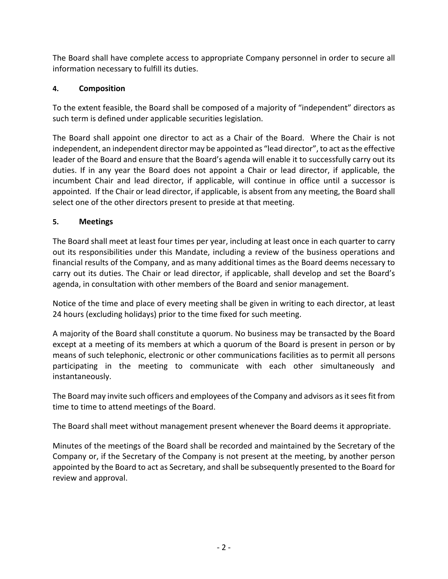The Board shall have complete access to appropriate Company personnel in order to secure all information necessary to fulfill its duties.

# **4. Composition**

To the extent feasible, the Board shall be composed of a majority of "independent" directors as such term is defined under applicable securities legislation.

The Board shall appoint one director to act as a Chair of the Board. Where the Chair is not independent, an independent director may be appointed as "lead director", to act as the effective leader of the Board and ensure that the Board's agenda will enable it to successfully carry out its duties. If in any year the Board does not appoint a Chair or lead director, if applicable, the incumbent Chair and lead director, if applicable, will continue in office until a successor is appointed. If the Chair or lead director, if applicable, is absent from any meeting, the Board shall select one of the other directors present to preside at that meeting.

# **5. Meetings**

The Board shall meet at least four times per year, including at least once in each quarter to carry out its responsibilities under this Mandate, including a review of the business operations and financial results of the Company, and as many additional times as the Board deems necessary to carry out its duties. The Chair or lead director, if applicable, shall develop and set the Board's agenda, in consultation with other members of the Board and senior management.

Notice of the time and place of every meeting shall be given in writing to each director, at least 24 hours (excluding holidays) prior to the time fixed for such meeting.

A majority of the Board shall constitute a quorum. No business may be transacted by the Board except at a meeting of its members at which a quorum of the Board is present in person or by means of such telephonic, electronic or other communications facilities as to permit all persons participating in the meeting to communicate with each other simultaneously and instantaneously.

The Board may invite such officers and employees of the Company and advisors as it sees fit from time to time to attend meetings of the Board.

The Board shall meet without management present whenever the Board deems it appropriate.

Minutes of the meetings of the Board shall be recorded and maintained by the Secretary of the Company or, if the Secretary of the Company is not present at the meeting, by another person appointed by the Board to act as Secretary, and shall be subsequently presented to the Board for review and approval.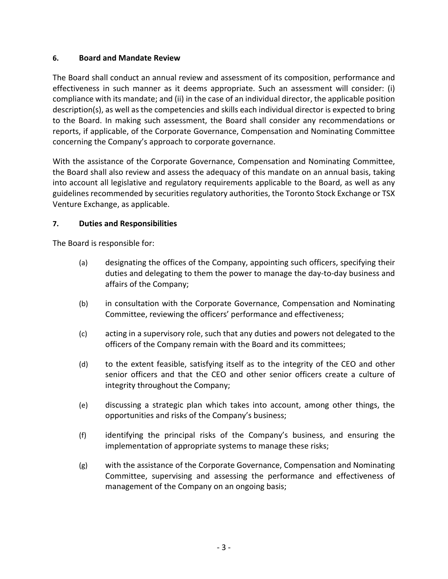#### **6. Board and Mandate Review**

The Board shall conduct an annual review and assessment of its composition, performance and effectiveness in such manner as it deems appropriate. Such an assessment will consider: (i) compliance with its mandate; and (ii) in the case of an individual director, the applicable position description(s), as well as the competencies and skills each individual director is expected to bring to the Board. In making such assessment, the Board shall consider any recommendations or reports, if applicable, of the Corporate Governance, Compensation and Nominating Committee concerning the Company's approach to corporate governance.

With the assistance of the Corporate Governance, Compensation and Nominating Committee, the Board shall also review and assess the adequacy of this mandate on an annual basis, taking into account all legislative and regulatory requirements applicable to the Board, as well as any guidelines recommended by securities regulatory authorities, the Toronto Stock Exchange or TSX Venture Exchange, as applicable.

## **7. Duties and Responsibilities**

The Board is responsible for:

- (a) designating the offices of the Company, appointing such officers, specifying their duties and delegating to them the power to manage the day-to-day business and affairs of the Company;
- (b) in consultation with the Corporate Governance, Compensation and Nominating Committee, reviewing the officers' performance and effectiveness;
- (c) acting in a supervisory role, such that any duties and powers not delegated to the officers of the Company remain with the Board and its committees;
- (d) to the extent feasible, satisfying itself as to the integrity of the CEO and other senior officers and that the CEO and other senior officers create a culture of integrity throughout the Company;
- (e) discussing a strategic plan which takes into account, among other things, the opportunities and risks of the Company's business;
- (f) identifying the principal risks of the Company's business, and ensuring the implementation of appropriate systems to manage these risks;
- (g) with the assistance of the Corporate Governance, Compensation and Nominating Committee, supervising and assessing the performance and effectiveness of management of the Company on an ongoing basis;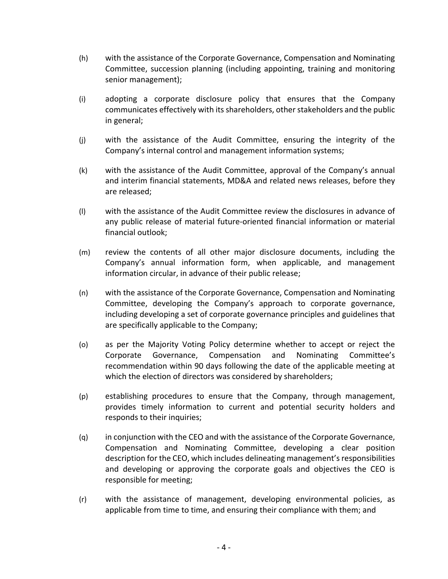- (h) with the assistance of the Corporate Governance, Compensation and Nominating Committee, succession planning (including appointing, training and monitoring senior management);
- (i) adopting a corporate disclosure policy that ensures that the Company communicates effectively with its shareholders, other stakeholders and the public in general;
- (j) with the assistance of the Audit Committee, ensuring the integrity of the Company's internal control and management information systems;
- (k) with the assistance of the Audit Committee, approval of the Company's annual and interim financial statements, MD&A and related news releases, before they are released;
- (l) with the assistance of the Audit Committee review the disclosures in advance of any public release of material future-oriented financial information or material financial outlook;
- (m) review the contents of all other major disclosure documents, including the Company's annual information form, when applicable, and management information circular, in advance of their public release;
- (n) with the assistance of the Corporate Governance, Compensation and Nominating Committee, developing the Company's approach to corporate governance, including developing a set of corporate governance principles and guidelines that are specifically applicable to the Company;
- (o) as per the Majority Voting Policy determine whether to accept or reject the Corporate Governance, Compensation and Nominating Committee's recommendation within 90 days following the date of the applicable meeting at which the election of directors was considered by shareholders;
- (p) establishing procedures to ensure that the Company, through management, provides timely information to current and potential security holders and responds to their inquiries;
- (q) in conjunction with the CEO and with the assistance of the Corporate Governance, Compensation and Nominating Committee, developing a clear position description for the CEO, which includes delineating management's responsibilities and developing or approving the corporate goals and objectives the CEO is responsible for meeting;
- (r) with the assistance of management, developing environmental policies, as applicable from time to time, and ensuring their compliance with them; and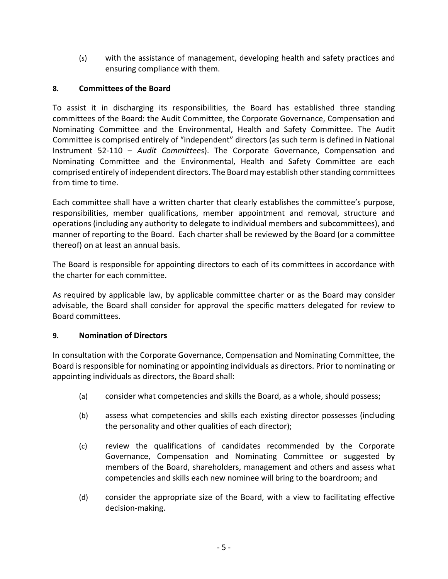(s) with the assistance of management, developing health and safety practices and ensuring compliance with them.

# **8. Committees of the Board**

To assist it in discharging its responsibilities, the Board has established three standing committees of the Board: the Audit Committee, the Corporate Governance, Compensation and Nominating Committee and the Environmental, Health and Safety Committee. The Audit Committee is comprised entirely of "independent" directors (as such term is defined in National Instrument 52-110 – *Audit Committees*). The Corporate Governance, Compensation and Nominating Committee and the Environmental, Health and Safety Committee are each comprised entirely of independent directors. The Board may establish other standing committees from time to time.

Each committee shall have a written charter that clearly establishes the committee's purpose, responsibilities, member qualifications, member appointment and removal, structure and operations (including any authority to delegate to individual members and subcommittees), and manner of reporting to the Board. Each charter shall be reviewed by the Board (or a committee thereof) on at least an annual basis.

The Board is responsible for appointing directors to each of its committees in accordance with the charter for each committee.

As required by applicable law, by applicable committee charter or as the Board may consider advisable, the Board shall consider for approval the specific matters delegated for review to Board committees.

## **9. Nomination of Directors**

In consultation with the Corporate Governance, Compensation and Nominating Committee, the Board is responsible for nominating or appointing individuals as directors. Prior to nominating or appointing individuals as directors, the Board shall:

- (a) consider what competencies and skills the Board, as a whole, should possess;
- (b) assess what competencies and skills each existing director possesses (including the personality and other qualities of each director);
- (c) review the qualifications of candidates recommended by the Corporate Governance, Compensation and Nominating Committee or suggested by members of the Board, shareholders, management and others and assess what competencies and skills each new nominee will bring to the boardroom; and
- (d) consider the appropriate size of the Board, with a view to facilitating effective decision-making.